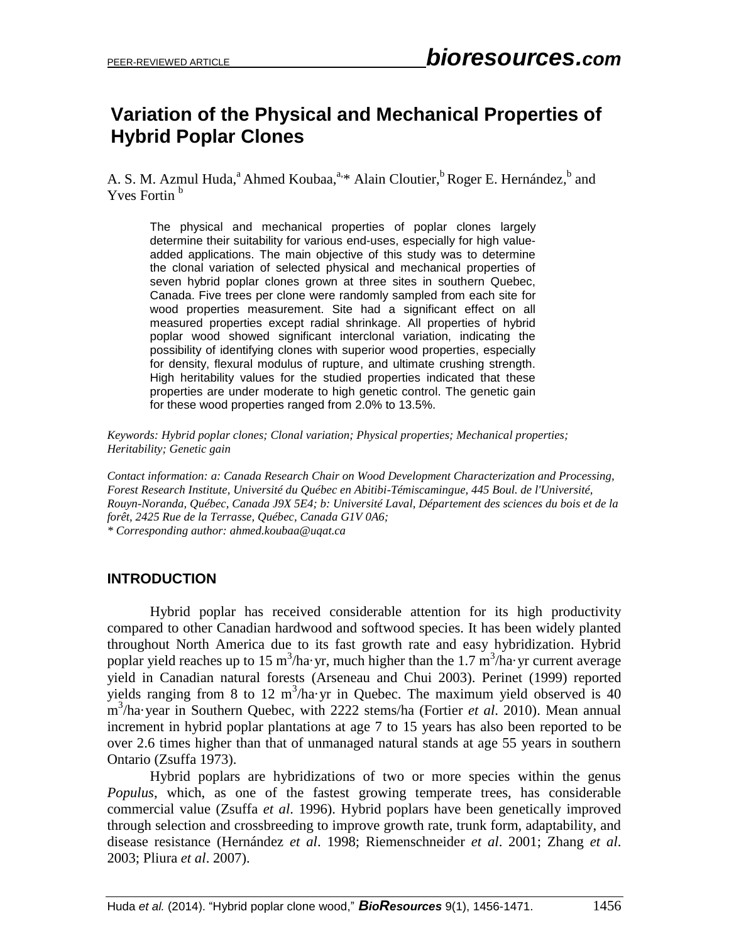# **Variation of the Physical and Mechanical Properties of Hybrid Poplar Clones**

A. S. M. Azmul Huda,<sup>a</sup> Ahmed Koubaa,<sup>a,\*</sup> Alain Cloutier,<sup>b</sup> Roger E. Hernández,<sup>b</sup> and Yves Fortin<sup>b</sup>

The physical and mechanical properties of poplar clones largely determine their suitability for various end-uses, especially for high valueadded applications. The main objective of this study was to determine the clonal variation of selected physical and mechanical properties of seven hybrid poplar clones grown at three sites in southern Quebec, Canada. Five trees per clone were randomly sampled from each site for wood properties measurement. Site had a significant effect on all measured properties except radial shrinkage. All properties of hybrid poplar wood showed significant interclonal variation, indicating the possibility of identifying clones with superior wood properties, especially for density, flexural modulus of rupture, and ultimate crushing strength. High heritability values for the studied properties indicated that these properties are under moderate to high genetic control. The genetic gain for these wood properties ranged from 2.0% to 13.5%.

*Keywords: Hybrid poplar clones; Clonal variation; Physical properties; Mechanical properties; Heritability; Genetic gain*

*Contact information: a: Canada Research Chair on Wood Development Characterization and Processing, Forest Research Institute, Université du Québec en Abitibi-Témiscamingue, 445 Boul. de l'Université, Rouyn-Noranda, Québec, Canada J9X 5E4; b: Université Laval, Département des sciences du bois et de la forêt, 2425 Rue de la Terrasse, Québec, Canada G1V 0A6; \* Corresponding author: ahmed.koubaa@uqat.ca*

# **INTRODUCTION**

Hybrid poplar has received considerable attention for its high productivity compared to other Canadian hardwood and softwood species. It has been widely planted throughout North America due to its fast growth rate and easy hybridization. Hybrid poplar yield reaches up to 15 m<sup>3</sup>/ha·yr, much higher than the 1.7 m<sup>3</sup>/ha·yr current average yield in Canadian natural forests (Arseneau and Chui 2003). Perinet (1999) reported yields ranging from 8 to 12  $m^3$ /ha·yr in Quebec. The maximum yield observed is 40 m 3 /ha·year in Southern Quebec, with 2222 stems/ha (Fortier *et al*. 2010). Mean annual increment in hybrid poplar plantations at age 7 to 15 years has also been reported to be over 2.6 times higher than that of unmanaged natural stands at age 55 years in southern Ontario (Zsuffa 1973).

Hybrid poplars are hybridizations of two or more species within the genus *Populus*, which, as one of the fastest growing temperate trees, has considerable commercial value (Zsuffa *et al*. 1996). Hybrid poplars have been genetically improved through selection and crossbreeding to improve growth rate, trunk form, adaptability, and disease resistance (Hernández *et al*. 1998; Riemenschneider *et al*. 2001; Zhang *et al*. 2003; Pliura *et al*. 2007).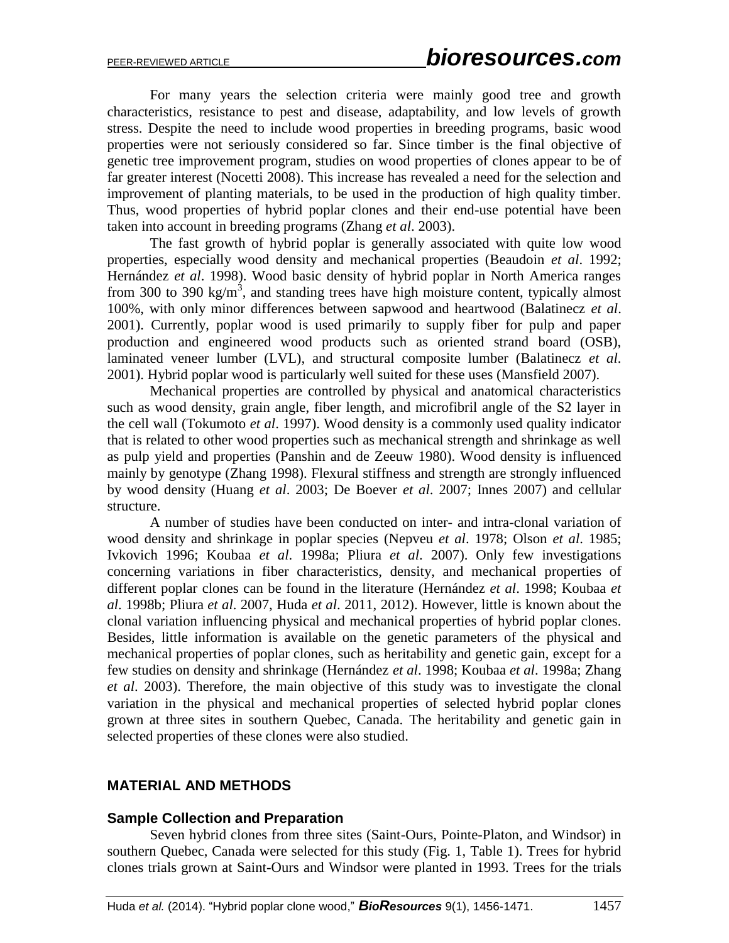For many years the selection criteria were mainly good tree and growth characteristics, resistance to pest and disease, adaptability, and low levels of growth stress. Despite the need to include wood properties in breeding programs, basic wood properties were not seriously considered so far. Since timber is the final objective of genetic tree improvement program, studies on wood properties of clones appear to be of far greater interest (Nocetti 2008). This increase has revealed a need for the selection and improvement of planting materials, to be used in the production of high quality timber. Thus, wood properties of hybrid poplar clones and their end-use potential have been taken into account in breeding programs (Zhang *et al*. 2003).

The fast growth of hybrid poplar is generally associated with quite low wood properties, especially wood density and mechanical properties (Beaudoin *et al*. 1992; Hernández *et al*. 1998). Wood basic density of hybrid poplar in North America ranges from 300 to 390 kg/m<sup>3</sup>, and standing trees have high moisture content, typically almost 100%, with only minor differences between sapwood and heartwood (Balatinecz *et al*. 2001). Currently, poplar wood is used primarily to supply fiber for pulp and paper production and engineered wood products such as oriented strand board (OSB), laminated veneer lumber (LVL), and structural composite lumber (Balatinecz *et al*. 2001). Hybrid poplar wood is particularly well suited for these uses (Mansfield 2007).

Mechanical properties are controlled by physical and anatomical characteristics such as wood density, grain angle, fiber length, and microfibril angle of the S2 layer in the cell wall (Tokumoto *et al*. 1997). Wood density is a commonly used quality indicator that is related to other wood properties such as mechanical strength and shrinkage as well as pulp yield and properties (Panshin and de Zeeuw 1980). Wood density is influenced mainly by genotype (Zhang 1998). Flexural stiffness and strength are strongly influenced by wood density (Huang *et al*. 2003; De Boever *et al*. 2007; Innes 2007) and cellular structure.

A number of studies have been conducted on inter- and intra-clonal variation of wood density and shrinkage in poplar species (Nepveu *et al*. 1978; Olson *et al*. 1985; Ivkovich 1996; Koubaa *et al*. 1998a; Pliura *et al*. 2007). Only few investigations concerning variations in fiber characteristics, density, and mechanical properties of different poplar clones can be found in the literature (Hernández *et al*. 1998; Koubaa *et al*. 1998b; Pliura *et al*. 2007, Huda *et al*. 2011, 2012). However, little is known about the clonal variation influencing physical and mechanical properties of hybrid poplar clones. Besides, little information is available on the genetic parameters of the physical and mechanical properties of poplar clones, such as heritability and genetic gain, except for a few studies on density and shrinkage (Hernández *et al*. 1998; Koubaa *et al*. 1998a; Zhang *et al*. 2003). Therefore, the main objective of this study was to investigate the clonal variation in the physical and mechanical properties of selected hybrid poplar clones grown at three sites in southern Quebec, Canada. The heritability and genetic gain in selected properties of these clones were also studied.

#### **MATERIAL AND METHODS**

#### **Sample Collection and Preparation**

Seven hybrid clones from three sites (Saint-Ours, Pointe-Platon, and Windsor) in southern Quebec, Canada were selected for this study (Fig. 1, Table 1). Trees for hybrid clones trials grown at Saint-Ours and Windsor were planted in 1993. Trees for the trials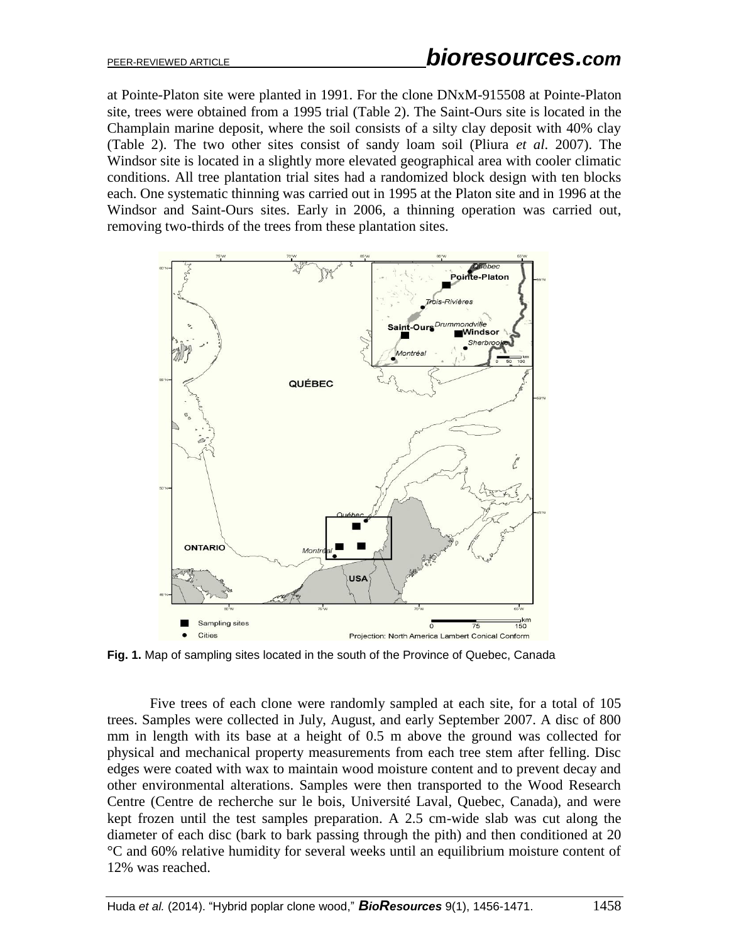at Pointe-Platon site were planted in 1991. For the clone DNxM-915508 at Pointe-Platon site, trees were obtained from a 1995 trial (Table 2). The Saint-Ours site is located in the Champlain marine deposit, where the soil consists of a silty clay deposit with 40% clay (Table 2). The two other sites consist of sandy loam soil (Pliura *et al*. 2007). The Windsor site is located in a slightly more elevated geographical area with cooler climatic conditions. All tree plantation trial sites had a randomized block design with ten blocks each. One systematic thinning was carried out in 1995 at the Platon site and in 1996 at the Windsor and Saint-Ours sites. Early in 2006, a thinning operation was carried out, removing two-thirds of the trees from these plantation sites.



**Fig. 1.** Map of sampling sites located in the south of the Province of Quebec, Canada

Five trees of each clone were randomly sampled at each site, for a total of 105 trees. Samples were collected in July, August, and early September 2007. A disc of 800 mm in length with its base at a height of 0.5 m above the ground was collected for physical and mechanical property measurements from each tree stem after felling. Disc edges were coated with wax to maintain wood moisture content and to prevent decay and other environmental alterations. Samples were then transported to the Wood Research Centre (Centre de recherche sur le bois, Université Laval, Quebec, Canada), and were kept frozen until the test samples preparation. A 2.5 cm-wide slab was cut along the diameter of each disc (bark to bark passing through the pith) and then conditioned at 20 °C and 60% relative humidity for several weeks until an equilibrium moisture content of 12% was reached.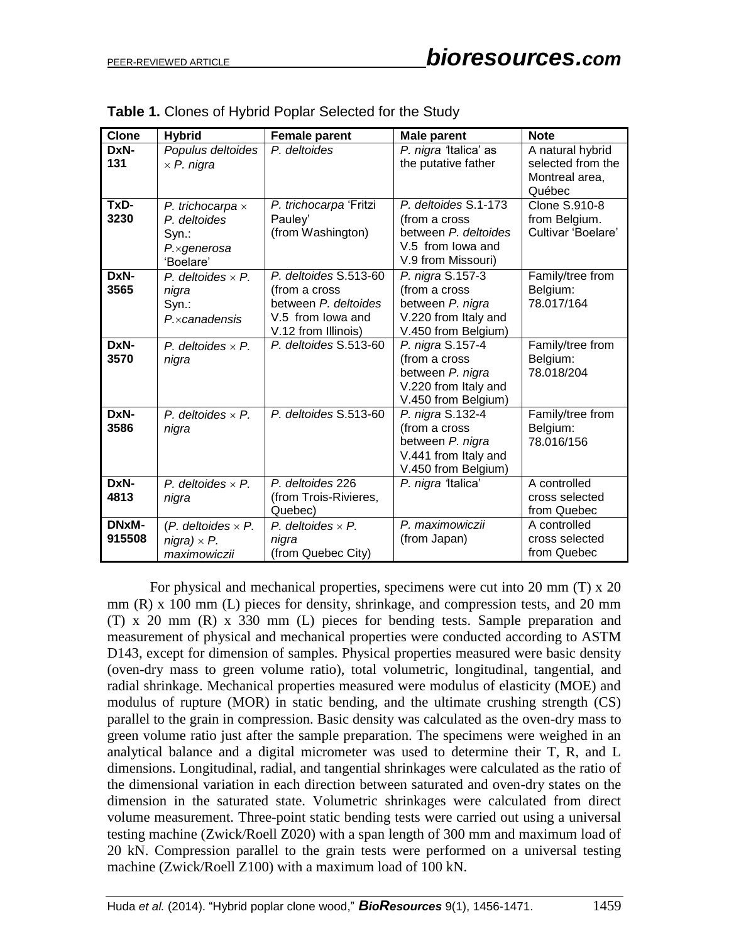| <b>Clone</b>    | <b>Hybrid</b>                                                                         | <b>Female parent</b>                                                                                       | <b>Male parent</b>                                                                                       | <b>Note</b>                                                       |
|-----------------|---------------------------------------------------------------------------------------|------------------------------------------------------------------------------------------------------------|----------------------------------------------------------------------------------------------------------|-------------------------------------------------------------------|
| DxN-<br>131     | Populus deltoides<br>$\times$ P. nigra                                                | P. deltoides                                                                                               | P. nigra 'Italica' as<br>the putative father                                                             | A natural hybrid<br>selected from the<br>Montreal area,<br>Québec |
| TxD-<br>3230    | P. trichocarpa $\times$<br>P. deltoides<br>Syn.:<br>$P \times q$ enerosa<br>'Boelare' | P. trichocarpa 'Fritzi<br>Pauley'<br>(from Washington)                                                     | P. deltoides S.1-173<br>(from a cross<br>between P. deltoides<br>V.5 from lowa and<br>V.9 from Missouri) | <b>Clone S.910-8</b><br>from Belgium.<br>Cultivar 'Boelare'       |
| DxN-<br>3565    | P. deltoides $\times$ P.<br>nigra<br>Syn.:<br>$P_{\cdot}$ x canadensis                | P. deltoides S.513-60<br>(from a cross<br>between P. deltoides<br>V.5 from lowa and<br>V.12 from Illinois) | P. nigra S.157-3<br>(from a cross<br>between P. nigra<br>V.220 from Italy and<br>V.450 from Belgium)     | Family/tree from<br>Belgium:<br>78.017/164                        |
| DxN-<br>3570    | P. deltoides $\times$ P.<br>nigra                                                     | P. deltoides S.513-60                                                                                      | P. nigra S.157-4<br>(from a cross<br>between P. nigra<br>V.220 from Italy and<br>V.450 from Belgium)     | Family/tree from<br>Belgium:<br>78.018/204                        |
| DxN-<br>3586    | P. deltoides $\times$ P.<br>nigra                                                     | P. deltoides S.513-60                                                                                      | P. nigra S.132-4<br>(from a cross<br>between P. nigra<br>V.441 from Italy and<br>V.450 from Belgium)     | Family/tree from<br>Belgium:<br>78.016/156                        |
| DxN-<br>4813    | P. deltoides $\times$ P.<br>nigra                                                     | P. deltoides 226<br>(from Trois-Rivieres,<br>Quebec)                                                       | P. nigra 'Italica'                                                                                       | A controlled<br>cross selected<br>from Quebec                     |
| DNxM-<br>915508 | $(P.$ deltoides $\times P.$<br>$nigra) \times P.$<br>maximowiczii                     | P. deltoides $\times$ P.<br>nigra<br>(from Quebec City)                                                    | P. maximowiczii<br>(from Japan)                                                                          | A controlled<br>cross selected<br>from Quebec                     |

For physical and mechanical properties, specimens were cut into 20 mm (T) x 20 mm (R) x 100 mm (L) pieces for density, shrinkage, and compression tests, and 20 mm (T) x 20 mm (R) x 330 mm (L) pieces for bending tests. Sample preparation and measurement of physical and mechanical properties were conducted according to ASTM D143, except for dimension of samples. Physical properties measured were basic density (oven-dry mass to green volume ratio), total volumetric, longitudinal, tangential, and radial shrinkage. Mechanical properties measured were modulus of elasticity (MOE) and modulus of rupture (MOR) in static bending, and the ultimate crushing strength (CS) parallel to the grain in compression. Basic density was calculated as the oven-dry mass to green volume ratio just after the sample preparation. The specimens were weighed in an analytical balance and a digital micrometer was used to determine their T, R, and L dimensions. Longitudinal, radial, and tangential shrinkages were calculated as the ratio of the dimensional variation in each direction between saturated and oven-dry states on the dimension in the saturated state. Volumetric shrinkages were calculated from direct volume measurement. Three-point static bending tests were carried out using a universal testing machine (Zwick/Roell Z020) with a span length of 300 mm and maximum load of 20 kN. Compression parallel to the grain tests were performed on a universal testing machine (Zwick/Roell Z100) with a maximum load of 100 kN.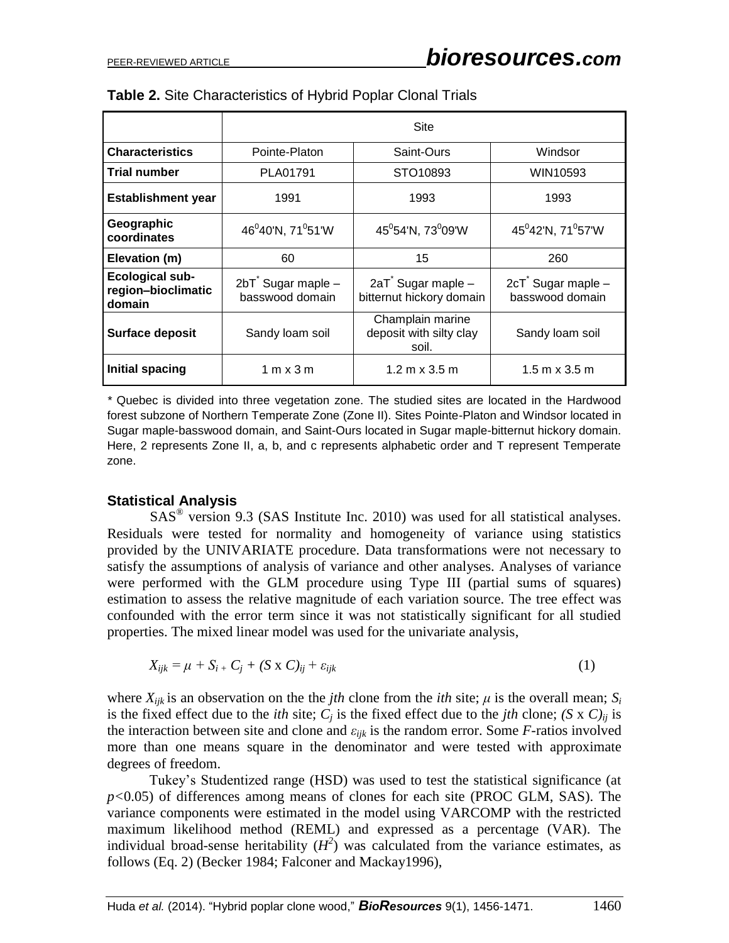|                                                        | <b>Site</b>                                                             |                                               |                                      |  |  |  |  |  |
|--------------------------------------------------------|-------------------------------------------------------------------------|-----------------------------------------------|--------------------------------------|--|--|--|--|--|
| <b>Characteristics</b>                                 | Pointe-Platon                                                           | Saint-Ours                                    | Windsor                              |  |  |  |  |  |
| <b>Trial number</b>                                    | PLA01791                                                                | STO10893                                      | WIN10593                             |  |  |  |  |  |
| <b>Establishment year</b>                              | 1991                                                                    | 1993                                          | 1993                                 |  |  |  |  |  |
| Geographic<br>coordinates                              | 46 <sup>0</sup> 40'N, 71 <sup>0</sup> 51'W                              | $45^0 54' N$ , 73 $^0 09' W$                  | $45^042'N$ , 71 $^057'W$             |  |  |  |  |  |
| Elevation (m)                                          | 60                                                                      | 15<br>260                                     |                                      |  |  |  |  |  |
| <b>Ecological sub-</b><br>region-bioclimatic<br>domain | 2bT Sugar maple -<br>basswood domain                                    | 2aT Sugar maple -<br>bitternut hickory domain | 2cT Sugar maple -<br>basswood domain |  |  |  |  |  |
| Surface deposit                                        | Champlain marine<br>deposit with silty clay<br>Sandy loam soil<br>soil. |                                               | Sandy loam soil                      |  |  |  |  |  |
| Initial spacing                                        | 1 m x 3 m                                                               | $1.2 m \times 3.5 m$                          | $1.5 \text{ m} \times 3.5 \text{ m}$ |  |  |  |  |  |

|  |  | Table 2. Site Characteristics of Hybrid Poplar Clonal Trials |  |  |  |  |  |
|--|--|--------------------------------------------------------------|--|--|--|--|--|
|--|--|--------------------------------------------------------------|--|--|--|--|--|

*\** Quebec is divided into three vegetation zone. The studied sites are located in the Hardwood forest subzone of Northern Temperate Zone (Zone II). Sites Pointe-Platon and Windsor located in Sugar maple-basswood domain, and Saint-Ours located in Sugar maple-bitternut hickory domain. Here, 2 represents Zone II, a, b, and c represents alphabetic order and T represent Temperate zone.

#### **Statistical Analysis**

SAS<sup>®</sup> version 9.3 (SAS Institute Inc. 2010) was used for all statistical analyses. Residuals were tested for normality and homogeneity of variance using statistics provided by the UNIVARIATE procedure. Data transformations were not necessary to satisfy the assumptions of analysis of variance and other analyses. Analyses of variance were performed with the GLM procedure using Type III (partial sums of squares) estimation to assess the relative magnitude of each variation source. The tree effect was confounded with the error term since it was not statistically significant for all studied properties. The mixed linear model was used for the univariate analysis,

$$
X_{ijk} = \mu + S_{i} + C_{j} + (S \times C)_{ij} + \varepsilon_{ijk}
$$
 (1)

where  $X_{ijk}$  is an observation on the the *jth* clone from the *ith* site;  $\mu$  is the overall mean;  $S_i$ is the fixed effect due to the *ith* site;  $C_i$  is the fixed effect due to the *jth* clone;  $(S \times C)_{ii}$  is the interaction between site and clone and *εijk* is the random error. Some *F-*ratios involved more than one means square in the denominator and were tested with approximate degrees of freedom.

Tukey's Studentized range (HSD) was used to test the statistical significance (at *p<*0.05) of differences among means of clones for each site (PROC GLM, SAS). The variance components were estimated in the model using VARCOMP with the restricted maximum likelihood method (REML) and expressed as a percentage (VAR). The individual broad-sense heritability  $(H^2)$  was calculated from the variance estimates, as follows (Eq. 2) (Becker 1984; Falconer and Mackay1996),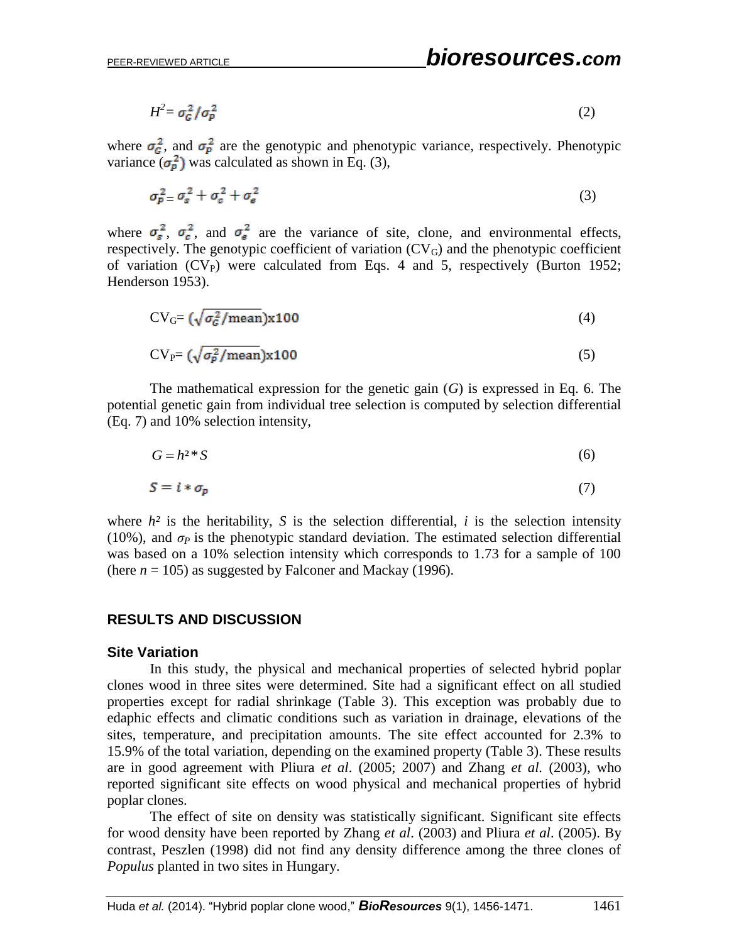$$
H^2 = \sigma_G^2 / \sigma_P^2 \tag{2}
$$

where  $\sigma_{\mathcal{G}}^2$ , and  $\sigma_{\mathcal{P}}^2$  are the genotypic and phenotypic variance, respectively. Phenotypic variance  $(\sigma_p^2)$  was calculated as shown in Eq. (3),

$$
\sigma_{\rm p}^2 = \sigma_s^2 + \sigma_c^2 + \sigma_{\rm e}^2 \tag{3}
$$

where  $\sigma_s^2$ ,  $\sigma_c^2$ , and  $\sigma_s^2$  are the variance of site, clone, and environmental effects, respectively. The genotypic coefficient of variation  $(CV_G)$  and the phenotypic coefficient of variation  $(CV_P)$  were calculated from Eqs. 4 and 5, respectively (Burton 1952; Henderson 1953).

$$
CVG = (\sqrt{\sigma_G^2/mean})x100
$$
 (4)

$$
CVP = (\sqrt{\sigma_p^2/mean})x100
$$
 (5)

The mathematical expression for the genetic gain (*G*) is expressed in Eq. 6. The potential genetic gain from individual tree selection is computed by selection differential (Eq. 7) and 10% selection intensity,

$$
G = h^{2} * S \tag{6}
$$

$$
S = i * \sigma_p \tag{7}
$$

where  $h^2$  is the heritability, *S* is the selection differential, *i* is the selection intensity (10%), and  $\sigma_P$  is the phenotypic standard deviation. The estimated selection differential was based on a 10% selection intensity which corresponds to 1.73 for a sample of 100 (here  $n = 105$ ) as suggested by Falconer and Mackay (1996).

#### **RESULTS AND DISCUSSION**

#### **Site Variation**

In this study, the physical and mechanical properties of selected hybrid poplar clones wood in three sites were determined. Site had a significant effect on all studied properties except for radial shrinkage (Table 3). This exception was probably due to edaphic effects and climatic conditions such as variation in drainage, elevations of the sites, temperature, and precipitation amounts. The site effect accounted for 2.3% to 15.9% of the total variation, depending on the examined property (Table 3). These results are in good agreement with Pliura *et al*. (2005; 2007) and Zhang *et al.* (2003), who reported significant site effects on wood physical and mechanical properties of hybrid poplar clones.

The effect of site on density was statistically significant. Significant site effects for wood density have been reported by Zhang *et al*. (2003) and Pliura *et al*. (2005). By contrast, Peszlen (1998) did not find any density difference among the three clones of *Populus* planted in two sites in Hungary.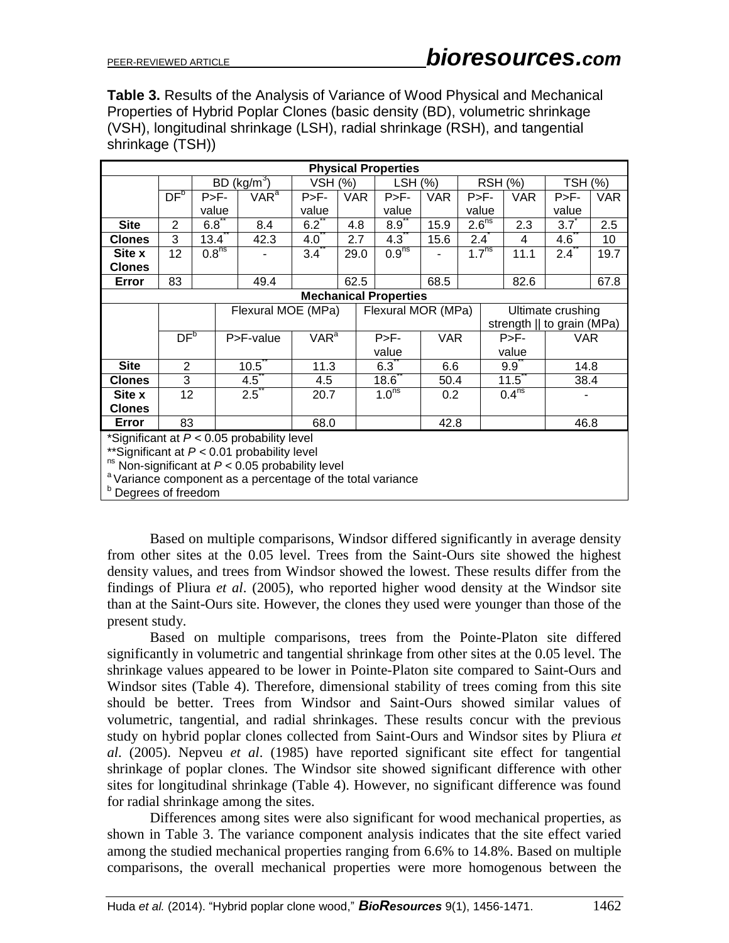**Table 3.** Results of the Analysis of Variance of Wood Physical and Mechanical Properties of Hybrid Poplar Clones (basic density (BD), volumetric shrinkage (VSH), longitudinal shrinkage (LSH), radial shrinkage (RSH), and tangential shrinkage (TSH))

| <b>Physical Properties</b>                                            |                    |                   |                                                                    |                  |                  |                    |  |                   |                            |                   |                   |                              |             |            |
|-----------------------------------------------------------------------|--------------------|-------------------|--------------------------------------------------------------------|------------------|------------------|--------------------|--|-------------------|----------------------------|-------------------|-------------------|------------------------------|-------------|------------|
|                                                                       |                    |                   | BD (kg/m <sup>3</sup> )<br>VSH (%)<br>$LSH (\%)$<br><b>RSH (%)</b> |                  |                  | <b>TSH (%)</b>     |  |                   |                            |                   |                   |                              |             |            |
|                                                                       | DF <sup>b</sup>    | $P>F-$            |                                                                    | VAR <sup>a</sup> | $P>F-$           | VAR.               |  | $P>F -$           | <b>VAR</b>                 |                   | $P>F -$           | <b>VAR</b>                   | $P>F -$     | <b>VAR</b> |
|                                                                       |                    | value             |                                                                    |                  | value            |                    |  | value             |                            | value             |                   |                              | value       |            |
| <b>Site</b>                                                           | 2                  | $6.8^{\degree}$   |                                                                    | 8.4              | $6.2^{\degree}$  | 4.8                |  | $8.9^{\degree}$   | 15.9                       | 2.6 <sup>ns</sup> |                   | 2.3                          | $3.7^\circ$ | 2.5        |
| <b>Clones</b>                                                         | 3                  | $13.4^{\degree}$  |                                                                    | 42.3             | 4.0              | 2.7                |  | 4.3               | 15.6                       | $2.4^{\degree}$   |                   | 4                            | 4.6         | 10         |
| Site x                                                                | 12                 | 0.8 <sup>ns</sup> |                                                                    |                  | $3.4^\circ$      | 29.0               |  | 0.9 <sup>ns</sup> |                            |                   | 1.7 <sup>ns</sup> | 11.1                         | 2.4         | 19.7       |
| <b>Clones</b>                                                         |                    |                   |                                                                    |                  |                  |                    |  |                   |                            |                   |                   |                              |             |            |
| Error                                                                 | 83                 |                   |                                                                    | 49.4             |                  | 62.5               |  |                   | 68.5                       |                   |                   | 82.6                         |             | 67.8       |
| <b>Mechanical Properties</b>                                          |                    |                   |                                                                    |                  |                  |                    |  |                   |                            |                   |                   |                              |             |            |
|                                                                       | Flexural MOE (MPa) |                   |                                                                    |                  |                  | Flexural MOR (MPa) |  |                   |                            |                   | Ultimate crushing |                              |             |            |
|                                                                       |                    |                   |                                                                    |                  |                  |                    |  |                   | strength    to grain (MPa) |                   |                   |                              |             |            |
|                                                                       | DF <sup>b</sup>    |                   |                                                                    | P>F-value        | VAR <sup>a</sup> |                    |  | $P > F -$         | <b>VAR</b>                 |                   |                   | $P>F-$                       | <b>VAR</b>  |            |
|                                                                       |                    |                   |                                                                    |                  |                  |                    |  | value             | value                      |                   |                   |                              |             |            |
| <b>Site</b>                                                           | $\overline{2}$     |                   |                                                                    | $10.5^\circ$     | 11.3             |                    |  | 6.3               | 6.6                        |                   |                   | 9.9                          | 14.8        |            |
| <b>Clones</b>                                                         | 3                  |                   |                                                                    | $4.5^{\degree}$  | 4.5              |                    |  | 18.6              | 50.4                       |                   |                   | $11.5^{\degree}$             | 38.4        |            |
| Site x                                                                | 12                 |                   |                                                                    | $2.5^{\degree}$  | 20.7             |                    |  | 1.0 <sup>ns</sup> | 0.2                        |                   |                   | $0.4^{\overline{\text{ns}}}$ |             |            |
| <b>Clones</b>                                                         |                    |                   |                                                                    |                  |                  |                    |  |                   |                            |                   |                   |                              |             |            |
| Error                                                                 | 83<br>68.0<br>42.8 |                   |                                                                    |                  |                  |                    |  |                   | 46.8                       |                   |                   |                              |             |            |
| *Significant at $P < 0.05$ probability level                          |                    |                   |                                                                    |                  |                  |                    |  |                   |                            |                   |                   |                              |             |            |
| ** Significant at $P < 0.01$ probability level                        |                    |                   |                                                                    |                  |                  |                    |  |                   |                            |                   |                   |                              |             |            |
| <sup>ns</sup> Non-significant at $P < 0.05$ probability level         |                    |                   |                                                                    |                  |                  |                    |  |                   |                            |                   |                   |                              |             |            |
| <sup>a</sup> Variance component as a percentage of the total variance |                    |                   |                                                                    |                  |                  |                    |  |                   |                            |                   |                   |                              |             |            |
| <sup>b</sup> Degrees of freedom                                       |                    |                   |                                                                    |                  |                  |                    |  |                   |                            |                   |                   |                              |             |            |

Based on multiple comparisons, Windsor differed significantly in average density from other sites at the 0.05 level. Trees from the Saint-Ours site showed the highest density values, and trees from Windsor showed the lowest. These results differ from the findings of Pliura *et al*. (2005), who reported higher wood density at the Windsor site than at the Saint-Ours site. However, the clones they used were younger than those of the present study.

Based on multiple comparisons, trees from the Pointe-Platon site differed significantly in volumetric and tangential shrinkage from other sites at the 0.05 level. The shrinkage values appeared to be lower in Pointe-Platon site compared to Saint-Ours and Windsor sites (Table 4). Therefore, dimensional stability of trees coming from this site should be better. Trees from Windsor and Saint-Ours showed similar values of volumetric, tangential, and radial shrinkages. These results concur with the previous study on hybrid poplar clones collected from Saint-Ours and Windsor sites by Pliura *et al*. (2005). Nepveu *et al*. (1985) have reported significant site effect for tangential shrinkage of poplar clones. The Windsor site showed significant difference with other sites for longitudinal shrinkage (Table 4). However, no significant difference was found for radial shrinkage among the sites.

Differences among sites were also significant for wood mechanical properties, as shown in Table 3. The variance component analysis indicates that the site effect varied among the studied mechanical properties ranging from 6.6% to 14.8%. Based on multiple comparisons, the overall mechanical properties were more homogenous between the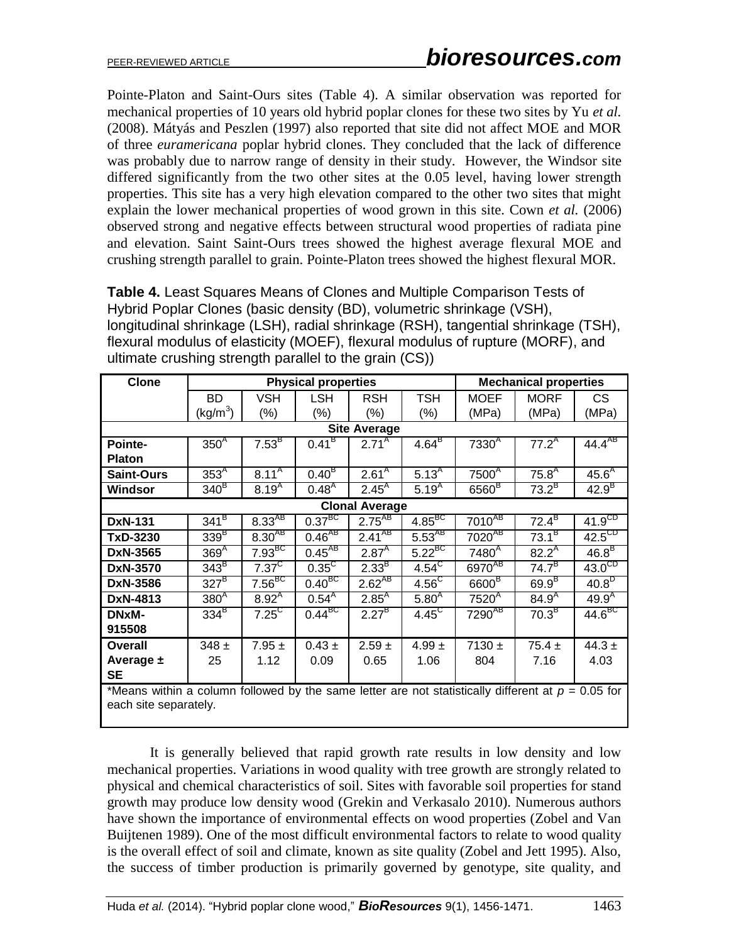Pointe-Platon and Saint-Ours sites (Table 4). A similar observation was reported for mechanical properties of 10 years old hybrid poplar clones for these two sites by Yu *et al.*  (2008). Mátyás and Peszlen (1997) also reported that site did not affect MOE and MOR of three *euramericana* poplar hybrid clones. They concluded that the lack of difference was probably due to narrow range of density in their study. However, the Windsor site differed significantly from the two other sites at the 0.05 level, having lower strength properties. This site has a very high elevation compared to the other two sites that might explain the lower mechanical properties of wood grown in this site. Cown *et al.* (2006) observed strong and negative effects between structural wood properties of radiata pine and elevation. Saint Saint-Ours trees showed the highest average flexural MOE and crushing strength parallel to grain. Pointe-Platon trees showed the highest flexural MOR.

**Table 4.** Least Squares Means of Clones and Multiple Comparison Tests of Hybrid Poplar Clones (basic density (BD), volumetric shrinkage (VSH), longitudinal shrinkage (LSH), radial shrinkage (RSH), tangential shrinkage (TSH), flexural modulus of elasticity (MOEF), flexural modulus of rupture (MORF), and ultimate crushing strength parallel to the grain (CS))

| <b>Clone</b>          |                                                                                                      |                    | <b>Physical properties</b> |                   | <b>Mechanical properties</b> |                                         |                     |                    |  |  |
|-----------------------|------------------------------------------------------------------------------------------------------|--------------------|----------------------------|-------------------|------------------------------|-----------------------------------------|---------------------|--------------------|--|--|
|                       | BD                                                                                                   | <b>VSH</b>         | <b>LSH</b>                 | <b>RSH</b>        | <b>TSH</b>                   | MOEF                                    | <b>MORF</b>         | CS.                |  |  |
|                       | (kg/m <sup>3</sup> )                                                                                 | $(\%)$             | $(\%)$                     | $(\%)$            | $(\%)$                       | (MPa)                                   | (MPa)               | (MPa)              |  |  |
| <b>Site Average</b>   |                                                                                                      |                    |                            |                   |                              |                                         |                     |                    |  |  |
| Pointe-               | 350 <sup>A</sup>                                                                                     | $7.53^{B}$         | $0.41^{\text{B}}$          | $2.71^{A}$        | $4.64^{B}$                   | 7330 <sup>4</sup>                       | $77.2^{A}$          | $44.4^{AB}$        |  |  |
| <b>Platon</b>         |                                                                                                      |                    |                            |                   |                              |                                         |                     |                    |  |  |
| <b>Saint-Ours</b>     | $353^A$                                                                                              | $8.11^{A}$         | $0.40^{B}$                 | 2.61 <sup>A</sup> | $5.13^{A}$                   | 7500 <sup>A</sup>                       | 75.8 <sup>A</sup>   | 45.6 <sup>A</sup>  |  |  |
| <b>Windsor</b>        | $340^{\text{B}}$                                                                                     | $8.19^{A}$         | $0.48^{A}$                 | $2.45^{A}$        | $5.19^{A}$                   | $6560^B$                                | $73.2^B$            | 42.9 <sup>B</sup>  |  |  |
|                       | <b>Clonal Average</b>                                                                                |                    |                            |                   |                              |                                         |                     |                    |  |  |
| <b>DxN-131</b>        | $341^B$                                                                                              | $8.33^{AB}$        | $0.37^{BC}$                | $2.75^{AB}$       | $4.85^{BC}$                  | $7010^{AB}$                             | $72.\overline{4^B}$ | 41.9 <sup>CD</sup> |  |  |
| TxD-3230              | 339 <sup>B</sup>                                                                                     | $8.30^{AB}$        | $0.46^{AB}$                | $2.41^{AB}$       | $5.53^{AB}$                  | $7020^{AB}$                             | $73.1^{B}$          | $42.5^{\text{CD}}$ |  |  |
| DxN-3565              | 369 <sup>A</sup>                                                                                     | $7.93^{BC}$        | $0.45^{AB}$                | $2.87^{A}$        | $5.22^{BC}$                  | $7480$ <sup><math>\text{A}</math></sup> | $82.2^{A}$          | $46.8^B$           |  |  |
| DxN-3570              | $343^B$                                                                                              | $7.37^{\circ}$     | $0.35^{\circ}$             | 2.33 <sup>B</sup> | $4.54^{\circ}$               | 6970 <sup>AB</sup>                      | $74.7^B$            | $43.0^{\circ}$     |  |  |
| DxN-3586              | $327^B$                                                                                              | 7.56 <sup>BC</sup> | $0.40^{BC}$                | $2.62^{AB}$       | $4.56^{\circ}$               | 6600 <sup>B</sup>                       | 69.9 <sup>B</sup>   | $40.8^{\circ}$     |  |  |
| DxN-4813              | 380 <sup>A</sup>                                                                                     | $8.92^{A}$         | $0.54^{A}$                 | $2.85^{A}$        | 5.80 <sup>A</sup>            | $7520$ <sup>A</sup>                     | $84.\overline{9}$   | $49.9^{A}$         |  |  |
| <b>DNxM-</b>          | $334^B$                                                                                              | $7.25^{\circ}$     | $0.44^{BC}$                | $2.27^{B}$        | $4.45^{\circ}$               | $7290^{AB}$                             | $70.3^{B}$          | $44.6^{\text{BC}}$ |  |  |
| 915508                |                                                                                                      |                    |                            |                   |                              |                                         |                     |                    |  |  |
| <b>Overall</b>        | $348 \pm$                                                                                            | $7.95 \pm$         | $0.43 \pm$                 | $2.59 \pm$        | $4.99 \pm$                   | 7130 $\pm$                              | $75.4 \pm$          | 44.3 $\pm$         |  |  |
| Average $\pm$         | 25                                                                                                   | 1.12               | 0.09                       | 0.65              | 1.06                         | 804                                     | 7.16                | 4.03               |  |  |
| <b>SE</b>             |                                                                                                      |                    |                            |                   |                              |                                         |                     |                    |  |  |
|                       | *Means within a column followed by the same letter are not statistically different at $p = 0.05$ for |                    |                            |                   |                              |                                         |                     |                    |  |  |
| each site separately. |                                                                                                      |                    |                            |                   |                              |                                         |                     |                    |  |  |

It is generally believed that rapid growth rate results in low density and low mechanical properties. Variations in wood quality with tree growth are strongly related to physical and chemical characteristics of soil. Sites with favorable soil properties for stand growth may produce low density wood (Grekin and Verkasalo 2010). Numerous authors have shown the importance of environmental effects on wood properties (Zobel and Van Buijtenen 1989). One of the most difficult environmental factors to relate to wood quality is the overall effect of soil and climate, known as site quality (Zobel and Jett 1995). Also, the success of timber production is primarily governed by genotype, site quality, and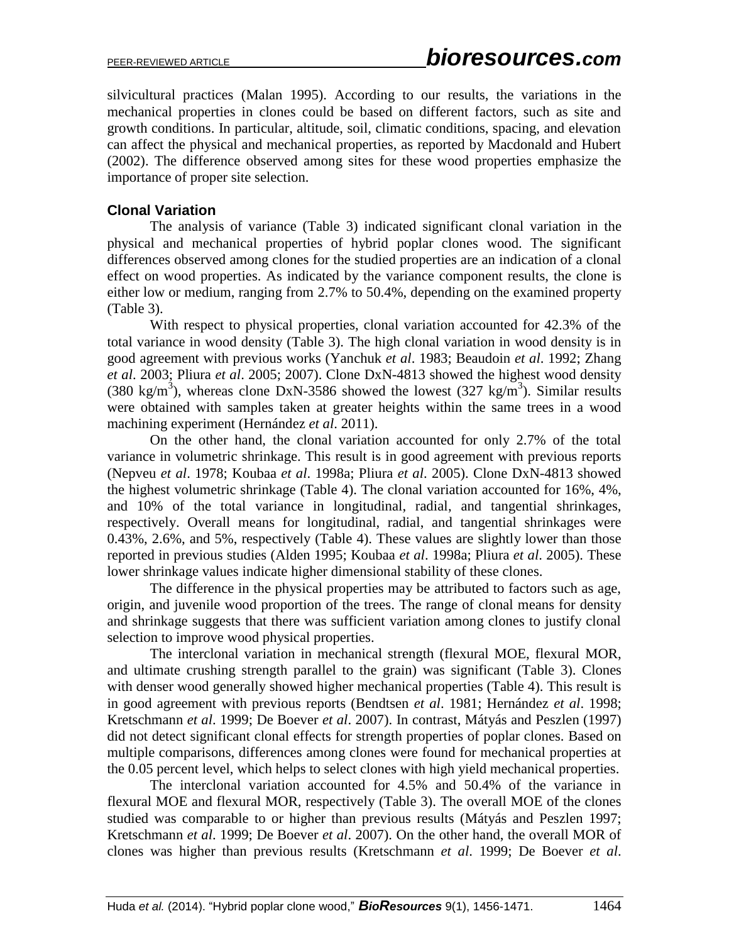silvicultural practices (Malan 1995). According to our results, the variations in the mechanical properties in clones could be based on different factors, such as site and growth conditions. In particular, altitude, soil, climatic conditions, spacing, and elevation can affect the physical and mechanical properties, as reported by Macdonald and Hubert (2002). The difference observed among sites for these wood properties emphasize the importance of proper site selection.

#### **Clonal Variation**

The analysis of variance (Table 3) indicated significant clonal variation in the physical and mechanical properties of hybrid poplar clones wood. The significant differences observed among clones for the studied properties are an indication of a clonal effect on wood properties. As indicated by the variance component results, the clone is either low or medium, ranging from 2.7% to 50.4%, depending on the examined property (Table 3).

With respect to physical properties, clonal variation accounted for 42.3% of the total variance in wood density (Table 3). The high clonal variation in wood density is in good agreement with previous works (Yanchuk *et al*. 1983; Beaudoin *et al*. 1992; Zhang *et al*. 2003; Pliura *et al*. 2005; 2007). Clone DxN-4813 showed the highest wood density (380 kg/m<sup>3</sup>), whereas clone DxN-3586 showed the lowest (327 kg/m<sup>3</sup>). Similar results were obtained with samples taken at greater heights within the same trees in a wood machining experiment (Hernández *et al*. 2011).

On the other hand, the clonal variation accounted for only 2.7% of the total variance in volumetric shrinkage. This result is in good agreement with previous reports (Nepveu *et al*. 1978; Koubaa *et al*. 1998a; Pliura *et al*. 2005). Clone DxN-4813 showed the highest volumetric shrinkage (Table 4). The clonal variation accounted for 16%, 4%, and 10% of the total variance in longitudinal, radial, and tangential shrinkages, respectively. Overall means for longitudinal, radial, and tangential shrinkages were 0.43%, 2.6%, and 5%, respectively (Table 4). These values are slightly lower than those reported in previous studies (Alden 1995; Koubaa *et al*. 1998a; Pliura *et al*. 2005). These lower shrinkage values indicate higher dimensional stability of these clones.

The difference in the physical properties may be attributed to factors such as age, origin, and juvenile wood proportion of the trees. The range of clonal means for density and shrinkage suggests that there was sufficient variation among clones to justify clonal selection to improve wood physical properties.

The interclonal variation in mechanical strength (flexural MOE, flexural MOR, and ultimate crushing strength parallel to the grain) was significant (Table 3). Clones with denser wood generally showed higher mechanical properties (Table 4). This result is in good agreement with previous reports (Bendtsen *et al*. 1981; Hernández *et al*. 1998; Kretschmann *et al*. 1999; De Boever *et al*. 2007). In contrast, Mátyás and Peszlen (1997) did not detect significant clonal effects for strength properties of poplar clones. Based on multiple comparisons, differences among clones were found for mechanical properties at the 0.05 percent level, which helps to select clones with high yield mechanical properties.

The interclonal variation accounted for 4.5% and 50.4% of the variance in flexural MOE and flexural MOR, respectively (Table 3). The overall MOE of the clones studied was comparable to or higher than previous results (Mátyás and Peszlen 1997; Kretschmann *et al*. 1999; De Boever *et al*. 2007). On the other hand, the overall MOR of clones was higher than previous results (Kretschmann *et al*. 1999; De Boever *et al*.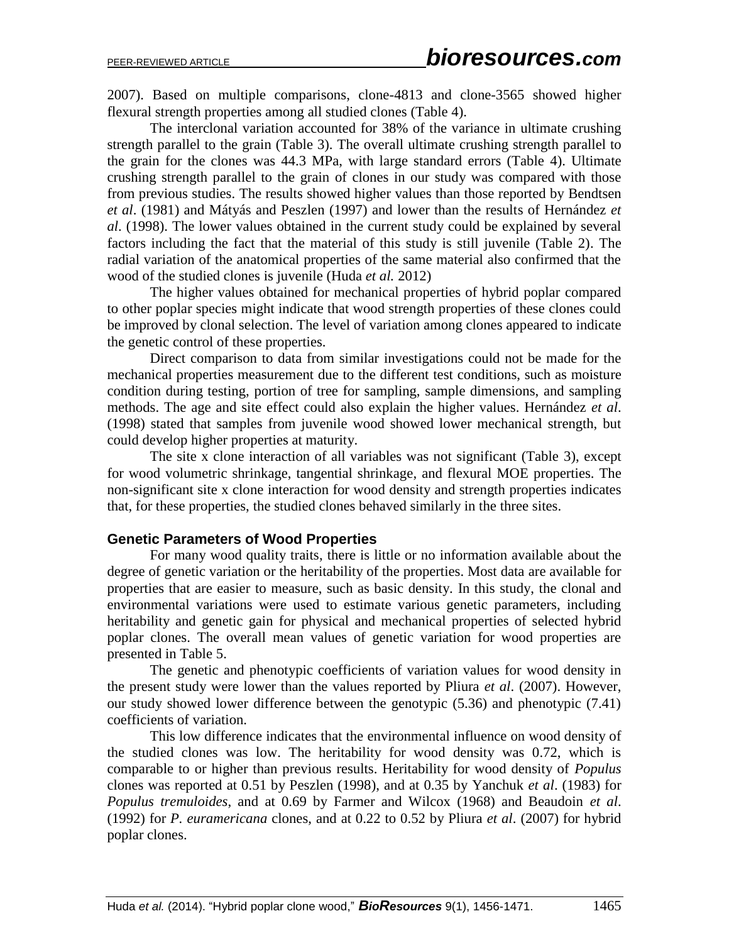2007). Based on multiple comparisons, clone-4813 and clone-3565 showed higher flexural strength properties among all studied clones (Table 4).

The interclonal variation accounted for 38% of the variance in ultimate crushing strength parallel to the grain (Table 3). The overall ultimate crushing strength parallel to the grain for the clones was 44.3 MPa, with large standard errors (Table 4). Ultimate crushing strength parallel to the grain of clones in our study was compared with those from previous studies. The results showed higher values than those reported by Bendtsen *et al*. (1981) and Mátyás and Peszlen (1997) and lower than the results of Hernández *et al*. (1998). The lower values obtained in the current study could be explained by several factors including the fact that the material of this study is still juvenile (Table 2). The radial variation of the anatomical properties of the same material also confirmed that the wood of the studied clones is juvenile (Huda *et al.* 2012)

The higher values obtained for mechanical properties of hybrid poplar compared to other poplar species might indicate that wood strength properties of these clones could be improved by clonal selection. The level of variation among clones appeared to indicate the genetic control of these properties.

Direct comparison to data from similar investigations could not be made for the mechanical properties measurement due to the different test conditions, such as moisture condition during testing, portion of tree for sampling, sample dimensions, and sampling methods. The age and site effect could also explain the higher values. Hernández *et al*. (1998) stated that samples from juvenile wood showed lower mechanical strength, but could develop higher properties at maturity.

The site x clone interaction of all variables was not significant (Table 3), except for wood volumetric shrinkage, tangential shrinkage, and flexural MOE properties. The non-significant site x clone interaction for wood density and strength properties indicates that, for these properties, the studied clones behaved similarly in the three sites.

#### **Genetic Parameters of Wood Properties**

For many wood quality traits, there is little or no information available about the degree of genetic variation or the heritability of the properties. Most data are available for properties that are easier to measure, such as basic density. In this study, the clonal and environmental variations were used to estimate various genetic parameters, including heritability and genetic gain for physical and mechanical properties of selected hybrid poplar clones. The overall mean values of genetic variation for wood properties are presented in Table 5.

The genetic and phenotypic coefficients of variation values for wood density in the present study were lower than the values reported by Pliura *et al*. (2007). However, our study showed lower difference between the genotypic (5.36) and phenotypic (7.41) coefficients of variation.

This low difference indicates that the environmental influence on wood density of the studied clones was low. The heritability for wood density was 0.72, which is comparable to or higher than previous results. Heritability for wood density of *Populus*  clones was reported at 0.51 by Peszlen (1998), and at 0.35 by Yanchuk *et al*. (1983) for *Populus tremuloides*, and at 0.69 by Farmer and Wilcox (1968) and Beaudoin *et al*. (1992) for *P. euramericana* clones, and at 0.22 to 0.52 by Pliura *et al*. (2007) for hybrid poplar clones.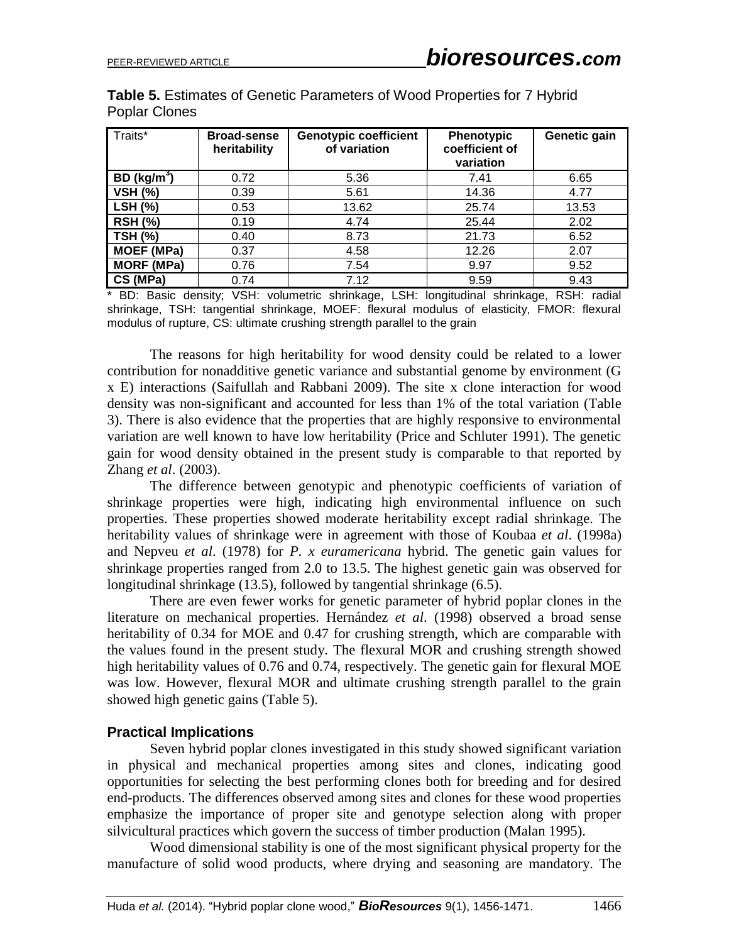| Traits*                 | <b>Broad-sense</b><br>heritability | <b>Genotypic coefficient</b><br>of variation | <b>Phenotypic</b><br>coefficient of<br>variation | Genetic gain |
|-------------------------|------------------------------------|----------------------------------------------|--------------------------------------------------|--------------|
| BD (kg/m <sup>3</sup> ) | 0.72                               | 5.36                                         | 7.41                                             | 6.65         |
| <b>VSH (%)</b>          | 0.39                               | 5.61                                         | 14.36                                            | 4.77         |
| <b>LSH (%)</b>          | 0.53                               | 13.62                                        | 25.74                                            | 13.53        |
| <b>RSH (%)</b>          | 0.19                               | 4.74                                         | 25.44                                            | 2.02         |
| <b>TSH (%)</b>          | 0.40                               | 8.73                                         | 21.73                                            | 6.52         |
| <b>MOEF (MPa)</b>       | 0.37                               | 4.58                                         | 12.26                                            | 2.07         |
| <b>MORF (MPa)</b>       | 0.76                               | 7.54                                         | 9.97                                             | 9.52         |
| CS (MPa)                | 0.74                               | 7.12                                         | 9.59                                             | 9.43         |

**Table 5.** Estimates of Genetic Parameters of Wood Properties for 7 Hybrid Poplar Clones

\* BD: Basic density; VSH: volumetric shrinkage, LSH: longitudinal shrinkage, RSH: radial shrinkage, TSH: tangential shrinkage, MOEF: flexural modulus of elasticity, FMOR: flexural modulus of rupture, CS: ultimate crushing strength parallel to the grain

The reasons for high heritability for wood density could be related to a lower contribution for nonadditive genetic variance and substantial genome by environment (G x E) interactions (Saifullah and Rabbani 2009). The site x clone interaction for wood density was non-significant and accounted for less than 1% of the total variation (Table 3). There is also evidence that the properties that are highly responsive to environmental variation are well known to have low heritability (Price and Schluter 1991). The genetic gain for wood density obtained in the present study is comparable to that reported by Zhang *et al*. (2003).

The difference between genotypic and phenotypic coefficients of variation of shrinkage properties were high, indicating high environmental influence on such properties. These properties showed moderate heritability except radial shrinkage. The heritability values of shrinkage were in agreement with those of Koubaa *et al*. (1998a) and Nepveu *et al*. (1978) for *P. x euramericana* hybrid. The genetic gain values for shrinkage properties ranged from 2.0 to 13.5. The highest genetic gain was observed for longitudinal shrinkage (13.5), followed by tangential shrinkage (6.5).

There are even fewer works for genetic parameter of hybrid poplar clones in the literature on mechanical properties. Hernández *et al*. (1998) observed a broad sense heritability of 0.34 for MOE and 0.47 for crushing strength, which are comparable with the values found in the present study. The flexural MOR and crushing strength showed high heritability values of 0.76 and 0.74, respectively. The genetic gain for flexural MOE was low. However, flexural MOR and ultimate crushing strength parallel to the grain showed high genetic gains (Table 5).

#### **Practical Implications**

Seven hybrid poplar clones investigated in this study showed significant variation in physical and mechanical properties among sites and clones, indicating good opportunities for selecting the best performing clones both for breeding and for desired end-products. The differences observed among sites and clones for these wood properties emphasize the importance of proper site and genotype selection along with proper silvicultural practices which govern the success of timber production (Malan 1995).

Wood dimensional stability is one of the most significant physical property for the manufacture of solid wood products, where drying and seasoning are mandatory. The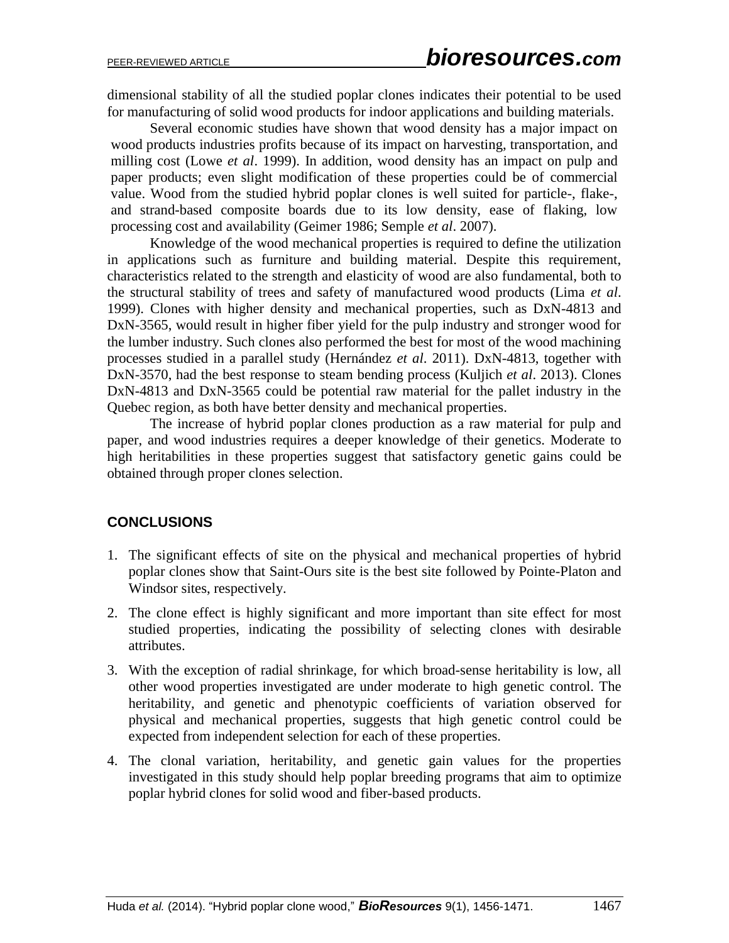dimensional stability of all the studied poplar clones indicates their potential to be used for manufacturing of solid wood products for indoor applications and building materials.

Several economic studies have shown that wood density has a major impact on wood products industries profits because of its impact on harvesting, transportation, and milling cost (Lowe *et al*. 1999). In addition, wood density has an impact on pulp and paper products; even slight modification of these properties could be of commercial value. Wood from the studied hybrid poplar clones is well suited for particle-, flake-, and strand-based composite boards due to its low density, ease of flaking, low processing cost and availability (Geimer 1986; Semple *et al*. 2007).

Knowledge of the wood mechanical properties is required to define the utilization in applications such as furniture and building material. Despite this requirement, characteristics related to the strength and elasticity of wood are also fundamental, both to the structural stability of trees and safety of manufactured wood products (Lima *et al*. 1999). Clones with higher density and mechanical properties, such as DxN-4813 and DxN-3565, would result in higher fiber yield for the pulp industry and stronger wood for the lumber industry. Such clones also performed the best for most of the wood machining processes studied in a parallel study (Hernández *et al*. 2011). DxN-4813, together with DxN-3570, had the best response to steam bending process (Kuljich *et al*. 2013). Clones DxN-4813 and DxN-3565 could be potential raw material for the pallet industry in the Quebec region, as both have better density and mechanical properties.

The increase of hybrid poplar clones production as a raw material for pulp and paper, and wood industries requires a deeper knowledge of their genetics. Moderate to high heritabilities in these properties suggest that satisfactory genetic gains could be obtained through proper clones selection.

# **CONCLUSIONS**

- 1. The significant effects of site on the physical and mechanical properties of hybrid poplar clones show that Saint-Ours site is the best site followed by Pointe-Platon and Windsor sites, respectively.
- 2. The clone effect is highly significant and more important than site effect for most studied properties, indicating the possibility of selecting clones with desirable attributes.
- 3. With the exception of radial shrinkage, for which broad-sense heritability is low, all other wood properties investigated are under moderate to high genetic control. The heritability, and genetic and phenotypic coefficients of variation observed for physical and mechanical properties, suggests that high genetic control could be expected from independent selection for each of these properties.
- 4. The clonal variation, heritability, and genetic gain values for the properties investigated in this study should help poplar breeding programs that aim to optimize poplar hybrid clones for solid wood and fiber-based products.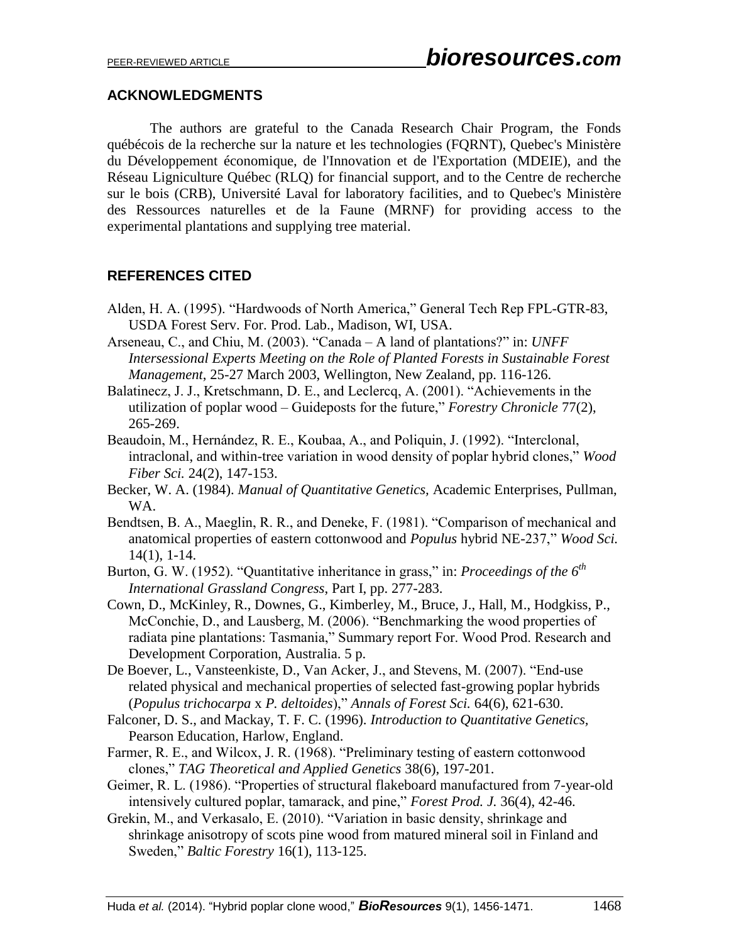#### **ACKNOWLEDGMENTS**

The authors are grateful to the Canada Research Chair Program, the Fonds québécois de la recherche sur la nature et les technologies (FQRNT), Quebec's Ministère du Développement économique, de l'Innovation et de l'Exportation (MDEIE), and the Réseau Ligniculture Québec (RLQ) for financial support, and to the Centre de recherche sur le bois (CRB), Université Laval for laboratory facilities, and to Quebec's Ministère des Ressources naturelles et de la Faune (MRNF) for providing access to the experimental plantations and supplying tree material.

# **REFERENCES CITED**

- Alden, H. A. (1995). "Hardwoods of North America," General Tech Rep FPL-GTR-83, USDA Forest Serv. For. Prod. Lab., Madison, WI, USA.
- Arseneau, C., and Chiu, M. (2003). "Canada A land of plantations?" in: *UNFF Intersessional Experts Meeting on the Role of Planted Forests in Sustainable Forest Management*, 25-27 March 2003, Wellington, New Zealand, pp. 116-126.
- Balatinecz, J. J., Kretschmann, D. E., and Leclercq, A. (2001). "Achievements in the utilization of poplar wood – Guideposts for the future," *Forestry Chronicle* 77(2), 265-269.
- Beaudoin, M., Hernández, R. E., Koubaa, A., and Poliquin, J. (1992). "Interclonal, intraclonal, and within-tree variation in wood density of poplar hybrid clones," *Wood Fiber Sci.* 24(2), 147-153.
- Becker, W. A. (1984). *Manual of Quantitative Genetics,* Academic Enterprises, Pullman, WA.
- Bendtsen, B. A., Maeglin, R. R., and Deneke, F. (1981). "Comparison of mechanical and anatomical properties of eastern cottonwood and *Populus* hybrid NE-237," *Wood Sci.* 14(1), 1-14.
- Burton, G. W. (1952). "Quantitative inheritance in grass," in: *Proceedings of the 6th International Grassland Congress*, Part I, pp. 277-283.
- Cown, D., McKinley, R., Downes, G., Kimberley, M., Bruce, J., Hall, M., Hodgkiss, P., McConchie, D., and Lausberg, M. (2006). "Benchmarking the wood properties of radiata pine plantations: Tasmania," Summary report For. Wood Prod. Research and Development Corporation, Australia. 5 p.
- De Boever, L., Vansteenkiste, D., Van Acker, J., and Stevens, M. (2007). "End-use related physical and mechanical properties of selected fast-growing poplar hybrids (*Populus trichocarpa* x *P. deltoides*)," *Annals of Forest Sci.* 64(6), 621-630.
- Falconer, D. S., and Mackay, T. F. C. (1996). *Introduction to Quantitative Genetics,*  Pearson Education, Harlow, England.
- Farmer, R. E., and Wilcox, J. R. (1968). "Preliminary testing of eastern cottonwood clones," *TAG Theoretical and Applied Genetics* 38(6), 197-201.
- Geimer, R. L. (1986). "Properties of structural flakeboard manufactured from 7-year-old intensively cultured poplar, tamarack, and pine," *Forest Prod. J.* 36(4), 42-46.
- Grekin, M., and Verkasalo, E. (2010). "Variation in basic density, shrinkage and shrinkage anisotropy of scots pine wood from matured mineral soil in Finland and Sweden," *Baltic Forestry* 16(1), 113-125.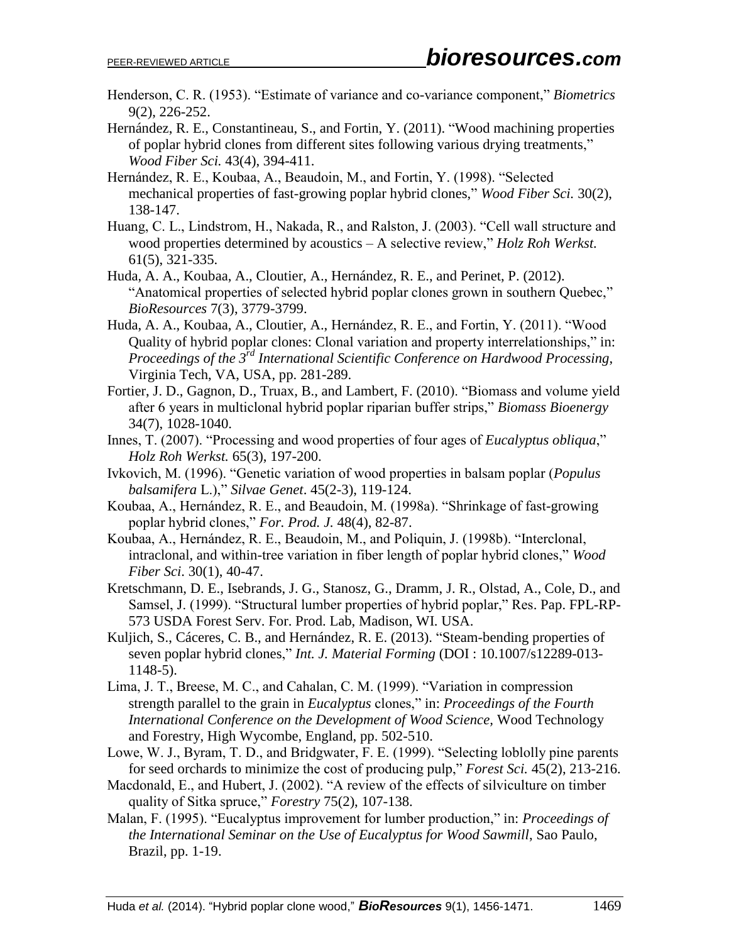- Henderson, C. R. (1953). "Estimate of variance and co-variance component," *Biometrics* 9(2), 226-252.
- Hernández, R. E., Constantineau, S., and Fortin, Y. (2011). "Wood machining properties of poplar hybrid clones from different sites following various drying treatments," *Wood Fiber Sci.* 43(4), 394-411.
- Hernández, R. E., Koubaa, A., Beaudoin, M., and Fortin, Y. (1998). "Selected mechanical properties of fast-growing poplar hybrid clones," *Wood Fiber Sci.* 30(2), 138-147.
- Huang, C. L., Lindstrom, H., Nakada, R., and Ralston, J. (2003). "Cell wall structure and wood properties determined by acoustics – A selective review," *Holz Roh Werkst.* 61(5), 321-335.
- Huda, A. A., Koubaa, A., Cloutier, A., Hernández, R. E., and Perinet, P. (2012). "Anatomical properties of selected hybrid poplar clones grown in southern Quebec," *BioResources* 7(3), 3779-3799.
- Huda, A. A., Koubaa, A., Cloutier, A., Hernández, R. E., and Fortin, Y. (2011). "Wood Quality of hybrid poplar clones: Clonal variation and property interrelationships," in: *Proceedings of the 3rd International Scientific Conference on Hardwood Processing*, Virginia Tech, VA, USA, pp. 281-289.
- Fortier, J. D., Gagnon, D., Truax, B., and Lambert, F. (2010). "Biomass and volume yield after 6 years in multiclonal hybrid poplar riparian buffer strips," *Biomass Bioenergy* 34(7), 1028-1040.
- Innes, T. (2007). "Processing and wood properties of four ages of *Eucalyptus obliqua*," *Holz Roh Werkst.* 65(3), 197-200.
- Ivkovich, M. (1996). "Genetic variation of wood properties in balsam poplar (*Populus balsamifera* L.)," *Silvae Genet*. 45(2-3), 119-124.
- Koubaa, A., Hernández, R. E., and Beaudoin, M. (1998a). "Shrinkage of fast-growing poplar hybrid clones," *For. Prod. J.* 48(4), 82-87.
- Koubaa, A., Hernández, R. E., Beaudoin, M., and Poliquin, J. (1998b). "Interclonal, intraclonal, and within-tree variation in fiber length of poplar hybrid clones," *Wood Fiber Sci*. 30(1), 40-47.
- Kretschmann, D. E., Isebrands, J. G., Stanosz, G., Dramm, J. R., Olstad, A., Cole, D., and Samsel, J. (1999). "Structural lumber properties of hybrid poplar," Res. Pap. FPL-RP-573 USDA Forest Serv. For. Prod. Lab, Madison, WI. USA.
- Kuljich, S., Cáceres, C. B., and Hernández, R. E. (2013). "Steam-bending properties of seven poplar hybrid clones," *Int. J. Material Forming* (DOI : 10.1007/s12289-013- 1148-5).
- Lima, J. T., Breese, M. C., and Cahalan, C. M. (1999). "Variation in compression strength parallel to the grain in *Eucalyptus* clones," in: *Proceedings of the Fourth International Conference on the Development of Wood Science,* Wood Technology and Forestry, High Wycombe, England, pp. 502-510.
- Lowe, W. J., Byram, T. D., and Bridgwater, F. E. (1999). "Selecting loblolly pine parents for seed orchards to minimize the cost of producing pulp," *Forest Sci.* 45(2), 213-216.
- Macdonald, E., and Hubert, J. (2002). "A review of the effects of silviculture on timber quality of Sitka spruce," *Forestry* 75(2), 107-138.
- Malan, F. (1995). "Eucalyptus improvement for lumber production," in: *Proceedings of the International Seminar on the Use of Eucalyptus for Wood Sawmill*, Sao Paulo, Brazil, pp. 1-19.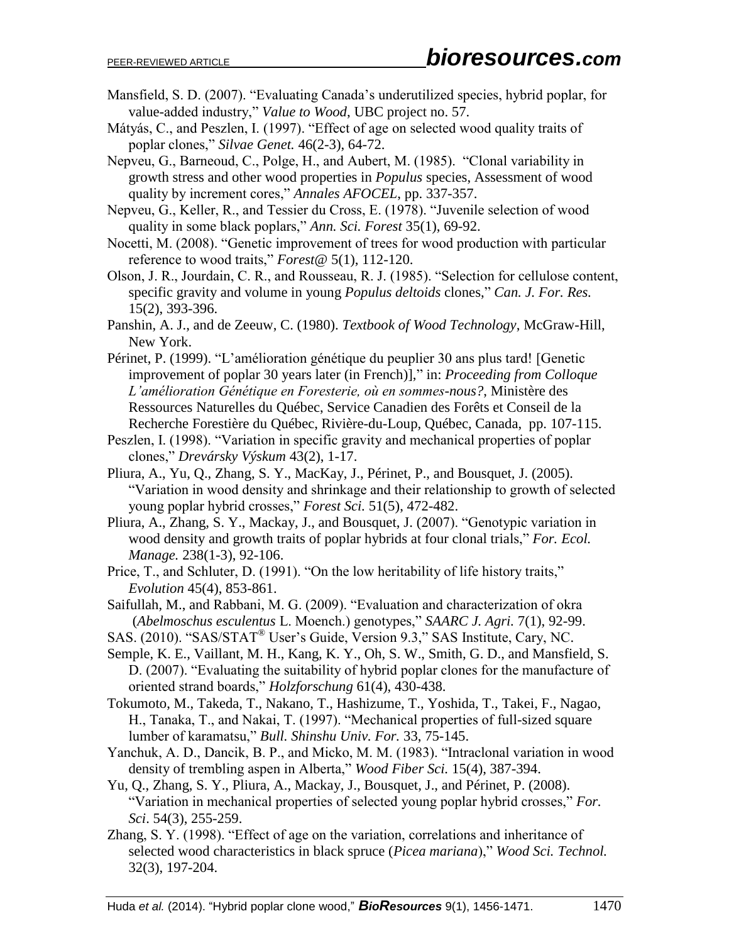- Mansfield, S. D. (2007). "Evaluating Canada's underutilized species, hybrid poplar, for value-added industry," *Value to Wood*, UBC project no. 57.
- Mátyás, C., and Peszlen, I. (1997). "Effect of age on selected wood quality traits of poplar clones," *Silvae Genet.* 46(2-3), 64-72.
- Nepveu, G., Barneoud, C., Polge, H., and Aubert, M. (1985). "Clonal variability in growth stress and other wood properties in *Populus* species, Assessment of wood quality by increment cores," *Annales AFOCEL*, pp. 337-357.
- Nepveu, G., Keller, R., and Tessier du Cross, E. (1978). "Juvenile selection of wood quality in some black poplars," *Ann. Sci. Forest* 35(1), 69-92.
- Nocetti, M. (2008). "Genetic improvement of trees for wood production with particular reference to wood traits," *Forest@* 5(1), 112-120.
- Olson, J. R., Jourdain, C. R., and Rousseau, R. J. (1985). "Selection for cellulose content, specific gravity and volume in young *Populus deltoids* clones," *Can. J. For. Res.* 15(2), 393-396.
- Panshin, A. J., and de Zeeuw, C. (1980). *Textbook of Wood Technology*, McGraw-Hill, New York.
- Périnet, P. (1999). "L'amélioration génétique du peuplier 30 ans plus tard! [Genetic improvement of poplar 30 years later (in French)]," in: *Proceeding from Colloque L'amélioration Génétique en Foresterie, où en sommes-nous?*, Ministère des Ressources Naturelles du Québec, Service Canadien des Forêts et Conseil de la Recherche Forestière du Québec, Rivière-du-Loup, Québec, Canada, pp. 107-115.
- Peszlen, I. (1998). "Variation in specific gravity and mechanical properties of poplar clones," *Drevársky Výskum* 43(2), 1-17.
- Pliura, A., Yu, Q., Zhang, S. Y., MacKay, J., Périnet, P., and Bousquet, J. (2005). "Variation in wood density and shrinkage and their relationship to growth of selected young poplar hybrid crosses," *Forest Sci.* 51(5), 472-482.
- Pliura, A., Zhang, S. Y., Mackay, J., and Bousquet, J. (2007). "Genotypic variation in wood density and growth traits of poplar hybrids at four clonal trials," *For. Ecol. Manage.* 238(1-3), 92-106.
- Price, T., and Schluter, D. (1991). "On the low heritability of life history traits," *Evolution* 45(4), 853-861.
- Saifullah, M., and Rabbani, M. G. (2009). "Evaluation and characterization of okra (*Abelmoschus esculentus* L. Moench.) genotypes," *SAARC J. Agri.* 7(1), 92-99.
- SAS. (2010). "SAS/STAT® User's Guide, Version 9.3," SAS Institute, Cary, NC.
- Semple, K. E., Vaillant, M. H., Kang, K. Y., Oh, S. W., Smith, G. D., and Mansfield, S. D. (2007). "Evaluating the suitability of hybrid poplar clones for the manufacture of oriented strand boards," *Holzforschung* 61(4), 430-438.
- Tokumoto, M., Takeda, T., Nakano, T., Hashizume, T., Yoshida, T., Takei, F., Nagao, H., Tanaka, T., and Nakai, T. (1997). "Mechanical properties of full-sized square lumber of karamatsu," *Bull. Shinshu Univ. For.* 33, 75-145.
- Yanchuk, A. D., Dancik, B. P., and Micko, M. M. (1983). "Intraclonal variation in wood density of trembling aspen in Alberta," *Wood Fiber Sci.* 15(4), 387-394.
- Yu, Q., Zhang, S. Y., Pliura, A., Mackay, J., Bousquet, J., and Périnet, P. (2008). "Variation in mechanical properties of selected young poplar hybrid crosses," *For. Sci*. 54(3), 255-259.
- Zhang, S. Y. (1998). "Effect of age on the variation, correlations and inheritance of selected wood characteristics in black spruce (*Picea mariana*)," *Wood Sci. Technol.* 32(3), 197-204.